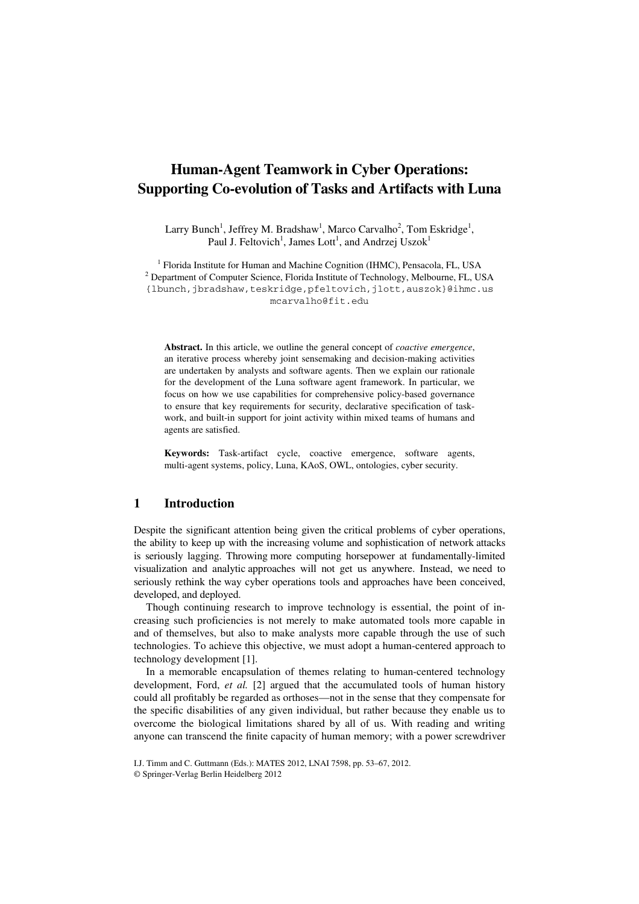# **Human-Agent Teamwork in Cyber Operations: Supporting Co-evolution of Tasks and Artifacts with Luna**

Larry Bunch<sup>1</sup>, Jeffrey M. Bradshaw<sup>1</sup>, Marco Carvalho<sup>2</sup>, Tom Eskridge<sup>1</sup>, Paul J. Feltovich<sup>1</sup>, James Lott<sup>1</sup>, and Andrzej Uszok<sup>1</sup>

<sup>1</sup> Florida Institute for Human and Machine Cognition (IHMC), Pensacola, FL, USA<br><sup>2</sup> Department of Computer Science, Florida Institute of Technology, Malbourne, FL, USA <sup>2</sup> Department of Computer Science, Florida Institute of Technology, Melbourne, FL, USA {lbunch,jbradshaw,teskridge,pfeltovich,jlott,auszok}@ihmc.us mcarvalho@fit.edu

**Abstract.** In this article, we outline the general concept of *coactive emergence*, an iterative process whereby joint sensemaking and decision-making activities are undertaken by analysts and software agents. Then we explain our rationale for the development of the Luna software agent framework. In particular, we focus on how we use capabilities for comprehensive policy-based governance to ensure that key requirements for security, declarative specification of taskwork, and built-in support for joint activity within mixed teams of humans and agents are satisfied.

**Keywords:** Task-artifact cycle, coactive emergence, software agents, multi-agent systems, policy, Luna, KAoS, OWL, ontologies, cyber security.

## **1 Introduction**

Despite the significant attention being given the critical problems of cyber operations, the ability to keep up with the increasing volume and sophistication of network attacks is seriously lagging. Throwing more computing horsepower at fundamentally-limited visualization and analytic approaches will not get us anywhere. Instead, we need to seriously rethink the way cyber operations tools and approaches have been conceived, developed, and deployed.

Though continuing research to improve technology is essential, the point of increasing such proficiencies is not merely to make automated tools more capable in and of themselves, but also to make analysts more capable through the use of such technologies. To achieve this objective, we must adopt a human-centered approach to technology development [1].

In a memorable encapsulation of themes relating to human-centered technology development, Ford, *et al.* [2] argued that the accumulated tools of human history could all profitably be regarded as orthoses—not in the sense that they compensate for the specific disabilities of any given individual, but rather because they enable us to overcome the biological limitations shared by all of us. With reading and writing anyone can transcend the finite capacity of human memory; with a power screwdriver

I.J. Timm and C. Guttmann (Eds.): MATES 2012, LNAI 7598, pp. 53–67, 2012.

<sup>©</sup> Springer-Verlag Berlin Heidelberg 2012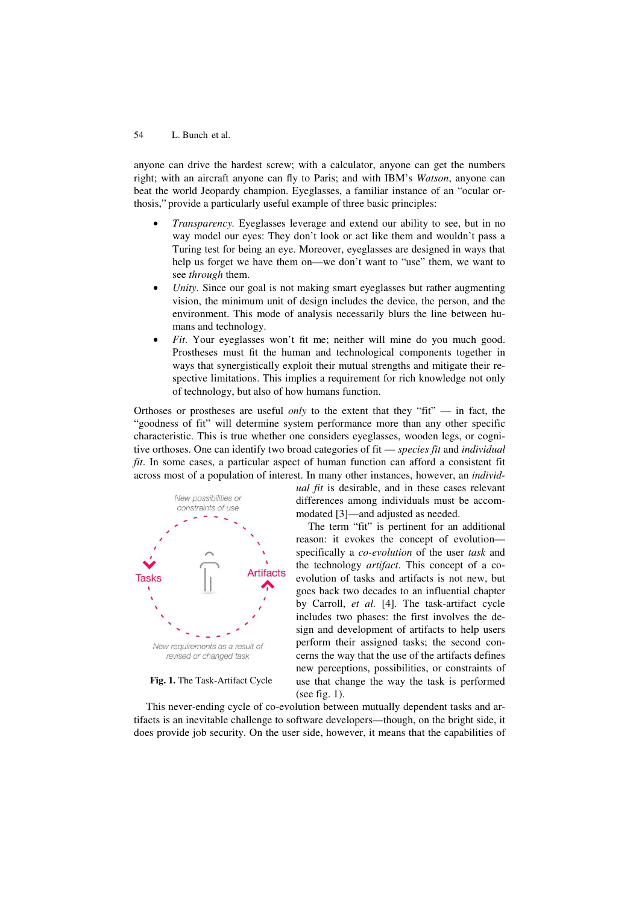anyone can drive the hardest screw; with a calculator, anyone can get the numbers right; with an aircraft anyone can fly to Paris; and with IBM's *Watson*, anyone can beat the world Jeopardy champion. Eyeglasses, a familiar instance of an "ocular orthosis," provide a particularly useful example of three basic principles:

- *Transparency.* Eyeglasses leverage and extend our ability to see, but in no way model our eyes: They don't look or act like them and wouldn't pass a Turing test for being an eye. Moreover, eyeglasses are designed in ways that help us forget we have them on—we don't want to "use" them, we want to see *through* them.
- *Unity*. Since our goal is not making smart eyeglasses but rather augmenting vision, the minimum unit of design includes the device, the person, and the environment. This mode of analysis necessarily blurs the line between humans and technology.
- *Fit.* Your eyeglasses won't fit me; neither will mine do you much good. Prostheses must fit the human and technological components together in ways that synergistically exploit their mutual strengths and mitigate their respective limitations. This implies a requirement for rich knowledge not only of technology, but also of how humans function.

Orthoses or prostheses are useful *only* to the extent that they "fit" — in fact, the "goodness of fit" will determine system performance more than any other specific characteristic. This is true whether one considers eyeglasses, wooden legs, or cognitive orthoses. One can identify two broad categories of fit — *species fit* and *individual fit*. In some cases, a particular aspect of human function can afford a consistent fit across most of a population of interest. In many other instances, however, an *individ-*



**Fig. 1.** The Task-Artifact Cycle

*ual fit* is desirable, and in these cases relevant differences among individuals must be accommodated [3]—and adjusted as needed.

The term "fit" is pertinent for an additional reason: it evokes the concept of evolution specifically a *co-evolution* of the user *task* and the technology *artifact*. This concept of a coevolution of tasks and artifacts is not new, but goes back two decades to an influential chapter by Carroll, *et al.* [4]. The task-artifact cycle includes two phases: the first involves the design and development of artifacts to help users perform their assigned tasks; the second concerns the way that the use of the artifacts defines new perceptions, possibilities, or constraints of use that change the way the task is performed (see fig. 1).

This never-ending cycle of co-evolution between mutually dependent tasks and artifacts is an inevitable challenge to software developers—though, on the bright side, it does provide job security. On the user side, however, it means that the capabilities of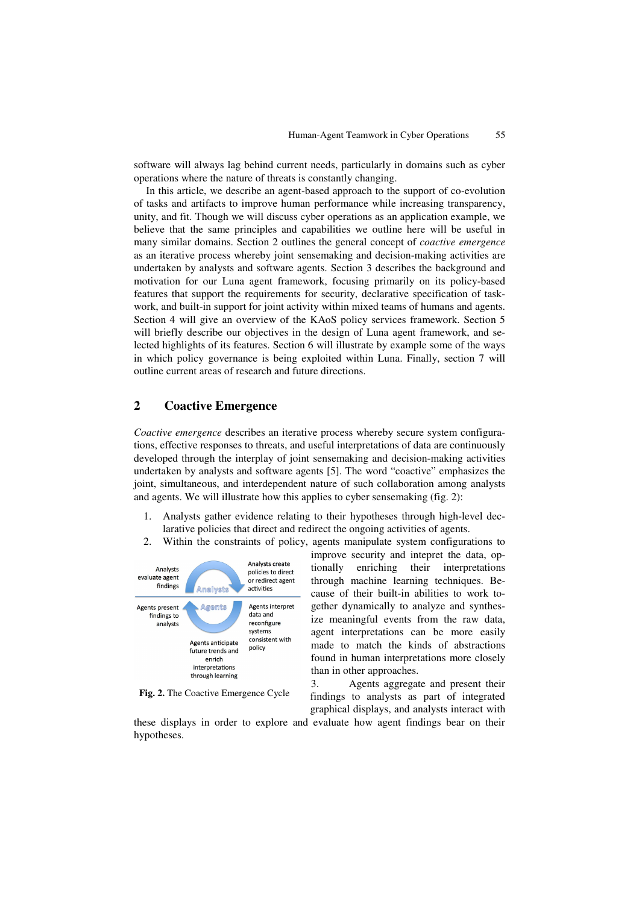software will always lag behind current needs, particularly in domains such as cyber operations where the nature of threats is constantly changing.

In this article, we describe an agent-based approach to the support of co-evolution of tasks and artifacts to improve human performance while increasing transparency, unity, and fit. Though we will discuss cyber operations as an application example, we believe that the same principles and capabilities we outline here will be useful in many similar domains. Section 2 outlines the general concept of *coactive emergence* as an iterative process whereby joint sensemaking and decision-making activities are undertaken by analysts and software agents. Section 3 describes the background and motivation for our Luna agent framework, focusing primarily on its policy-based features that support the requirements for security, declarative specification of taskwork, and built-in support for joint activity within mixed teams of humans and agents. Section 4 will give an overview of the KAoS policy services framework. Section 5 will briefly describe our objectives in the design of Luna agent framework, and selected highlights of its features. Section 6 will illustrate by example some of the ways in which policy governance is being exploited within Luna. Finally, section 7 will outline current areas of research and future directions.

# **2 Coactive Emergence**

*Coactive emergence* describes an iterative process whereby secure system configurations, effective responses to threats, and useful interpretations of data are continuously developed through the interplay of joint sensemaking and decision-making activities undertaken by analysts and software agents [5]. The word "coactive" emphasizes the joint, simultaneous, and interdependent nature of such collaboration among analysts and agents. We will illustrate how this applies to cyber sensemaking (fig. 2):

- 1. Analysts gather evidence relating to their hypotheses through high-level declarative policies that direct and redirect the ongoing activities of agents.
- 2. Within the constraints of policy, agents manipulate system configurations to



**Fig. 2.** The Coactive Emergence Cycle

improve security and intepret the data, optionally enriching their interpretations through machine learning techniques. Because of their built-in abilities to work together dynamically to analyze and synthesize meaningful events from the raw data, agent interpretations can be more easily made to match the kinds of abstractions found in human interpretations more closely than in other approaches.

3. Agents aggregate and present their findings to analysts as part of integrated graphical displays, and analysts interact with

these displays in order to explore and evaluate how agent findings bear on their hypotheses.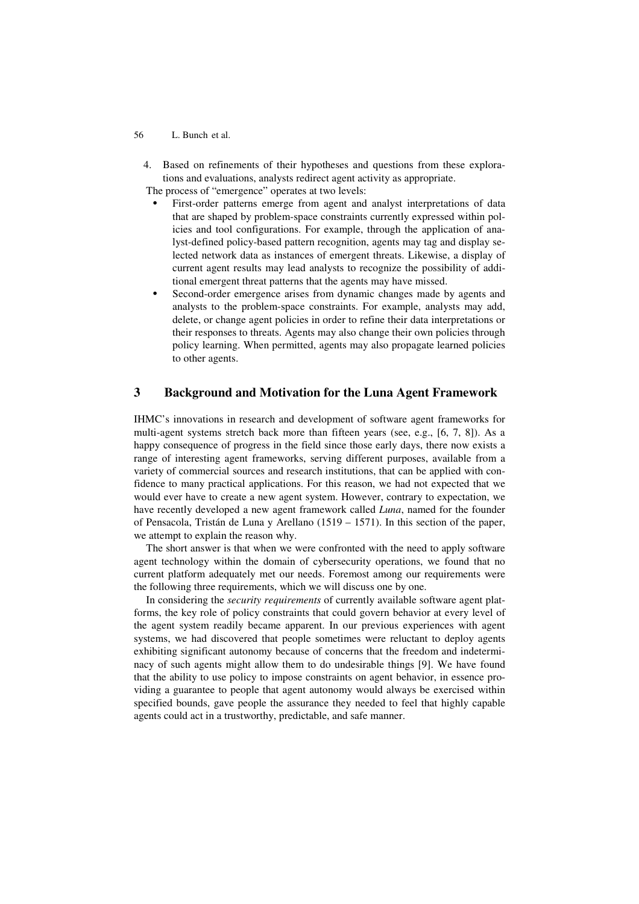4. Based on refinements of their hypotheses and questions from these explorations and evaluations, analysts redirect agent activity as appropriate.

The process of "emergence" operates at two levels:

- First-order patterns emerge from agent and analyst interpretations of data that are shaped by problem-space constraints currently expressed within policies and tool configurations. For example, through the application of analyst-defined policy-based pattern recognition, agents may tag and display selected network data as instances of emergent threats. Likewise, a display of current agent results may lead analysts to recognize the possibility of additional emergent threat patterns that the agents may have missed.
- Second-order emergence arises from dynamic changes made by agents and analysts to the problem-space constraints. For example, analysts may add, delete, or change agent policies in order to refine their data interpretations or their responses to threats. Agents may also change their own policies through policy learning. When permitted, agents may also propagate learned policies to other agents.

# **3 Background and Motivation for the Luna Agent Framework**

IHMC's innovations in research and development of software agent frameworks for multi-agent systems stretch back more than fifteen years (see, e.g., [6, 7, 8]). As a happy consequence of progress in the field since those early days, there now exists a range of interesting agent frameworks, serving different purposes, available from a variety of commercial sources and research institutions, that can be applied with confidence to many practical applications. For this reason, we had not expected that we would ever have to create a new agent system. However, contrary to expectation, we have recently developed a new agent framework called *Luna*, named for the founder of Pensacola, Tristán de Luna y Arellano (1519 – 1571). In this section of the paper, we attempt to explain the reason why.

The short answer is that when we were confronted with the need to apply software agent technology within the domain of cybersecurity operations, we found that no current platform adequately met our needs. Foremost among our requirements were the following three requirements, which we will discuss one by one.

In considering the *security requirements* of currently available software agent platforms, the key role of policy constraints that could govern behavior at every level of the agent system readily became apparent. In our previous experiences with agent systems, we had discovered that people sometimes were reluctant to deploy agents exhibiting significant autonomy because of concerns that the freedom and indeterminacy of such agents might allow them to do undesirable things [9]. We have found that the ability to use policy to impose constraints on agent behavior, in essence providing a guarantee to people that agent autonomy would always be exercised within specified bounds, gave people the assurance they needed to feel that highly capable agents could act in a trustworthy, predictable, and safe manner.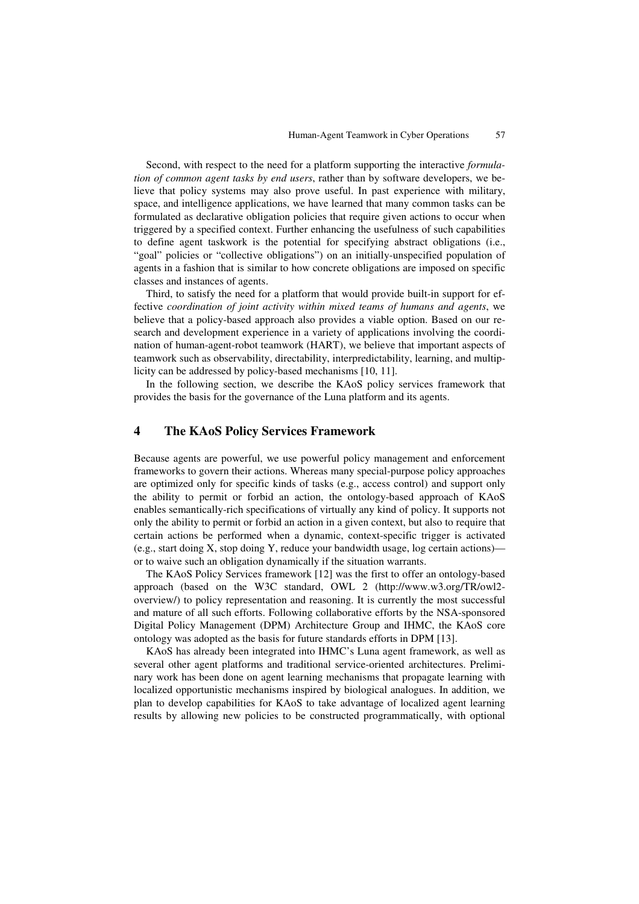Second, with respect to the need for a platform supporting the interactive *formulation of common agent tasks by end users*, rather than by software developers, we believe that policy systems may also prove useful. In past experience with military, space, and intelligence applications, we have learned that many common tasks can be formulated as declarative obligation policies that require given actions to occur when triggered by a specified context. Further enhancing the usefulness of such capabilities to define agent taskwork is the potential for specifying abstract obligations (i.e., "goal" policies or "collective obligations") on an initially-unspecified population of agents in a fashion that is similar to how concrete obligations are imposed on specific classes and instances of agents.

Third, to satisfy the need for a platform that would provide built-in support for effective *coordination of joint activity within mixed teams of humans and agents*, we believe that a policy-based approach also provides a viable option. Based on our research and development experience in a variety of applications involving the coordination of human-agent-robot teamwork (HART), we believe that important aspects of teamwork such as observability, directability, interpredictability, learning, and multiplicity can be addressed by policy-based mechanisms [10, 11].

In the following section, we describe the KAoS policy services framework that provides the basis for the governance of the Luna platform and its agents.

# **4 The KAoS Policy Services Framework**

Because agents are powerful, we use powerful policy management and enforcement frameworks to govern their actions. Whereas many special-purpose policy approaches are optimized only for specific kinds of tasks (e.g., access control) and support only the ability to permit or forbid an action, the ontology-based approach of KAoS enables semantically-rich specifications of virtually any kind of policy. It supports not only the ability to permit or forbid an action in a given context, but also to require that certain actions be performed when a dynamic, context-specific trigger is activated (e.g., start doing X, stop doing Y, reduce your bandwidth usage, log certain actions) or to waive such an obligation dynamically if the situation warrants.

The KAoS Policy Services framework [12] was the first to offer an ontology-based approach (based on the W3C standard, OWL 2 (http://www.w3.org/TR/owl2 overview/) to policy representation and reasoning. It is currently the most successful and mature of all such efforts. Following collaborative efforts by the NSA-sponsored Digital Policy Management (DPM) Architecture Group and IHMC, the KAoS core ontology was adopted as the basis for future standards efforts in DPM [13].

KAoS has already been integrated into IHMC's Luna agent framework, as well as several other agent platforms and traditional service-oriented architectures. Preliminary work has been done on agent learning mechanisms that propagate learning with localized opportunistic mechanisms inspired by biological analogues. In addition, we plan to develop capabilities for KAoS to take advantage of localized agent learning results by allowing new policies to be constructed programmatically, with optional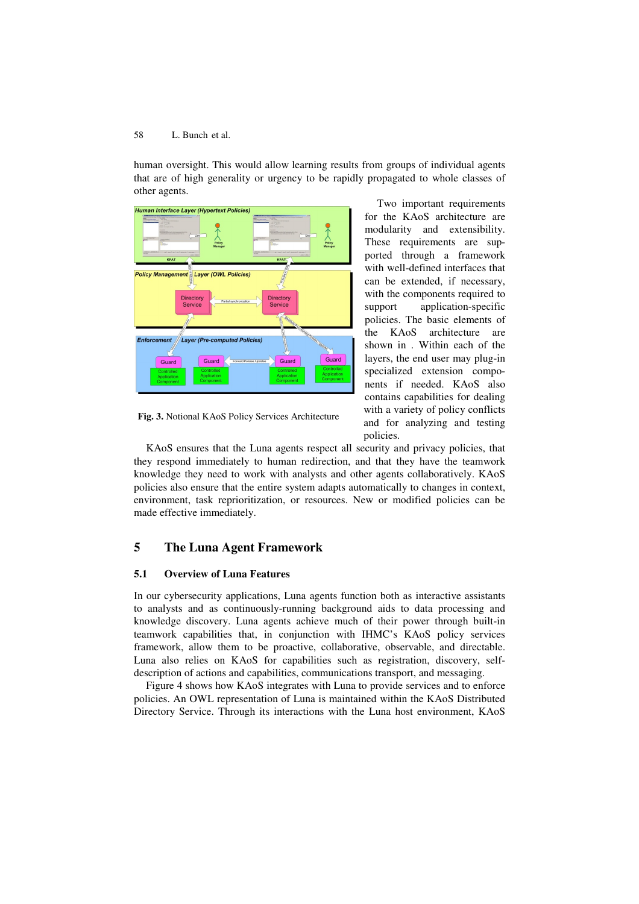human oversight. This would allow learning results from groups of individual agents that are of high generality or urgency to be rapidly propagated to whole classes of other agents.



for the KAoS architecture are modularity and extensibility. These requirements are supported through a framework with well-defined interfaces that can be extended, if necessary, with the components required to support application-specific policies. The basic elements of the KAoS architecture are shown in . Within each of the layers, the end user may plug-in specialized extension components if needed. KAoS also contains capabilities for dealing with a variety of policy conflicts and for analyzing and testing policies.

Two important requirements

**Fig. 3.** Notional KAoS Policy Services Architecture

KAoS ensures that the Luna agents respect all security and privacy policies, that they respond immediately to human redirection, and that they have the teamwork knowledge they need to work with analysts and other agents collaboratively. KAoS policies also ensure that the entire system adapts automatically to changes in context, environment, task reprioritization, or resources. New or modified policies can be made effective immediately.

# **5 The Luna Agent Framework**

### **5.1 Overview of Luna Features**

In our cybersecurity applications, Luna agents function both as interactive assistants to analysts and as continuously-running background aids to data processing and knowledge discovery. Luna agents achieve much of their power through built-in teamwork capabilities that, in conjunction with IHMC's KAoS policy services framework, allow them to be proactive, collaborative, observable, and directable. Luna also relies on KAoS for capabilities such as registration, discovery, selfdescription of actions and capabilities, communications transport, and messaging.

Figure 4 shows how KAoS integrates with Luna to provide services and to enforce policies. An OWL representation of Luna is maintained within the KAoS Distributed Directory Service. Through its interactions with the Luna host environment, KAoS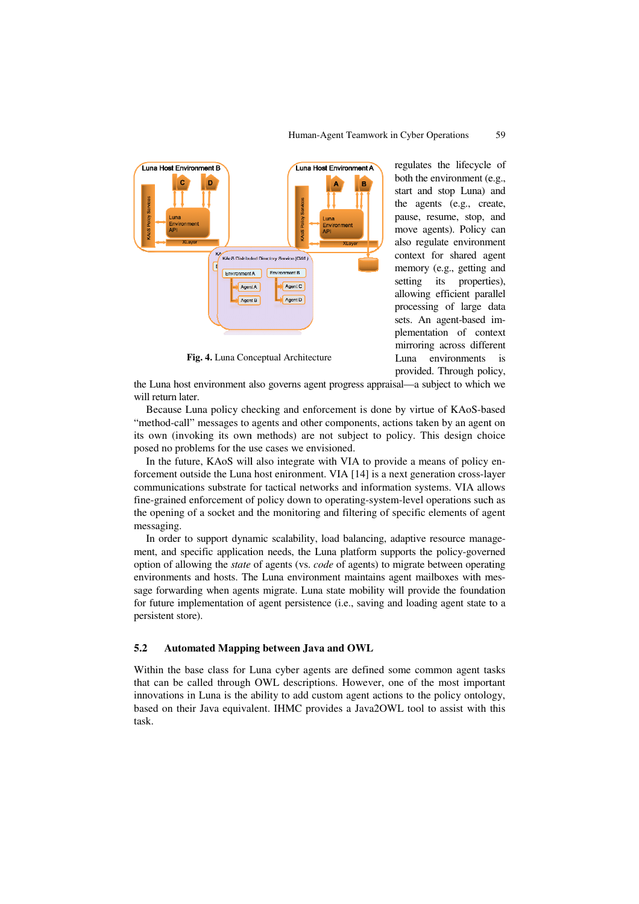

Fig. 4. Luna Conceptual Architecture

regulates the lifecycle of both the environment (e.g., start and stop Luna) and the agents (e.g., create, pause, resume, stop, and move agents). Policy can also regulate environm ment context for shared ag gent memory (e.g., getting and setting its properties), allowing efficient para allel processing of large d data sets. An agent-based implementation of context mirroring across different Luna environments is provided. Through policy,

the Luna host environment also governs agent progress appraisal—a subject to which we will return later.

Because Luna policy checking and enforcement is done by virtue of KAoS-based "method-call" messages to agents and other components, actions taken by an agent on its own (invoking its own methods) are not subject to policy. This design choice posed no problems for the use cases we envisioned.

In the future, KAoS will also integrate with VIA to provide a means of policy enforcement outside the Luna host enironment. VIA [14] is a next generation cross-layer communications substrate for tactical networks and information systems. VIA allows fine-grained enforcement of policy down to operating-system-level operations such as the opening of a socket and the monitoring and filtering of specific elements of agent messaging.

In order to support dynamic scalability, load balancing, adaptive resource management, and specific application needs, the Luna platform supports the policy-governed option of allowing the *state* of agents (vs. *code* of agents) to migrate between operating environments and hosts. The Luna environment maintains agent mailboxes with message forwarding when agents migrate. Luna state mobility will provide the foundation for future implementation of agent persistence (i.e., saving and loading agent state to a persistent store).

#### **5.2** Automated Mapping between Java and OWL

Within the base class for Luna cyber agents are defined some common agent tasks that can be called through OWL descriptions. However, one of the most important innovations in Luna is the ability to add custom agent actions to the policy ontology, based on their Java equivalent. IHMC provides a Java2OWL tool to assist with this task.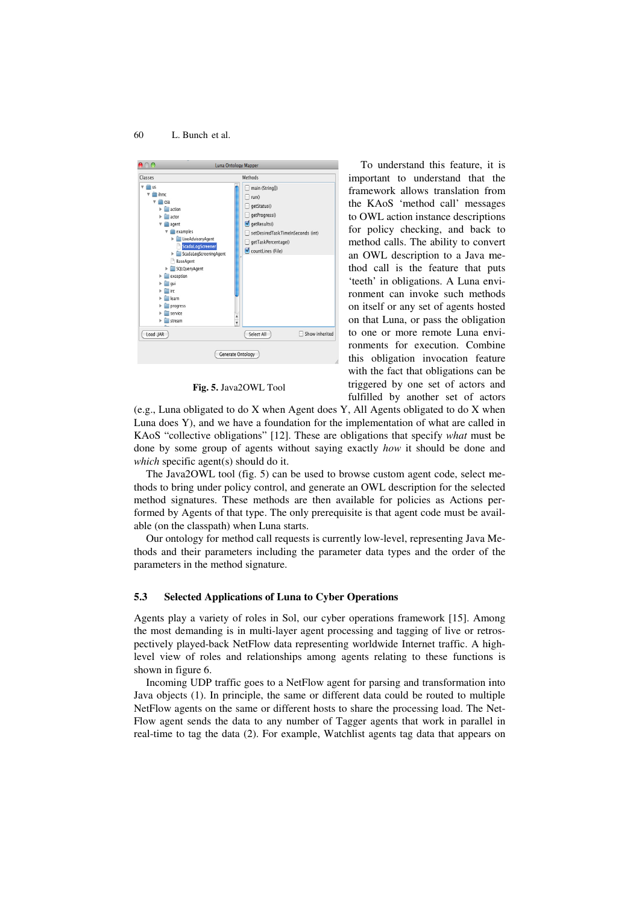

**Fig. 5.** Java2OW WL Tool

To understand this feature, it is important to understand that the framework allows translation from the KAoS 'method call' messa ages to OWL action instance descriptions for policy checking, and back k to method calls. The ability to convert an OWL description to a Java m method call is the feature that p puts 'teeth' in obligations. A Luna environment can invoke such methods on itself or any set of agents hosted on that Luna, or pass the obligation to one or more remote Luna environments for execution. Combine this obligation invocation feature with the fact that obligations can be triggered by one set of actors and fulfilled by another set of actors

(e.g., Luna obligated to do X when Agent does Y, All Agents obligated to do X w when Luna does Y), and we have a foundation for the implementation of what are called in KAoS "collective obligations" [12]. These are obligations that specify *what* must be done by some group of agents without saying exactly how it should be done and which specific agent(s) should do it.

The Java2OWL tool (fig. 5) can be used to browse custom agent code, select methods to bring under policy control, and generate an OWL description for the selected method signatures. These methods are then available for policies as Actions p performed by Agents of that type. The only prerequisite is that agent code must be available (on the classpath) when Luna starts.

Our ontology for method call requests is currently low-level, representing Java Methods and their parameters including the parameter data types and the order of the parameters in the method signature.

#### **5.3 Selected Applications of Luna to Cyber Operations**

Agents play a variety of roles in Sol, our cyber operations framework [15]. Among the most demanding is in multi-layer agent processing and tagging of live or retrospectively played-back NetFlow data representing worldwide Internet traffic. A highlevel view of roles and relationships among agents relating to these functions is shown in figure 6.

Incoming UDP traffic goes to a NetFlow agent for parsing and transformation into Java objects (1). In principle, the same or different data could be routed to multiple NetFlow agents on the same or different hosts to share the processing load. The Net-Flow agent sends the data to any number of Tagger agents that work in parallel in real-time to tag the data (2). For example, Watchlist agents tag data that appears on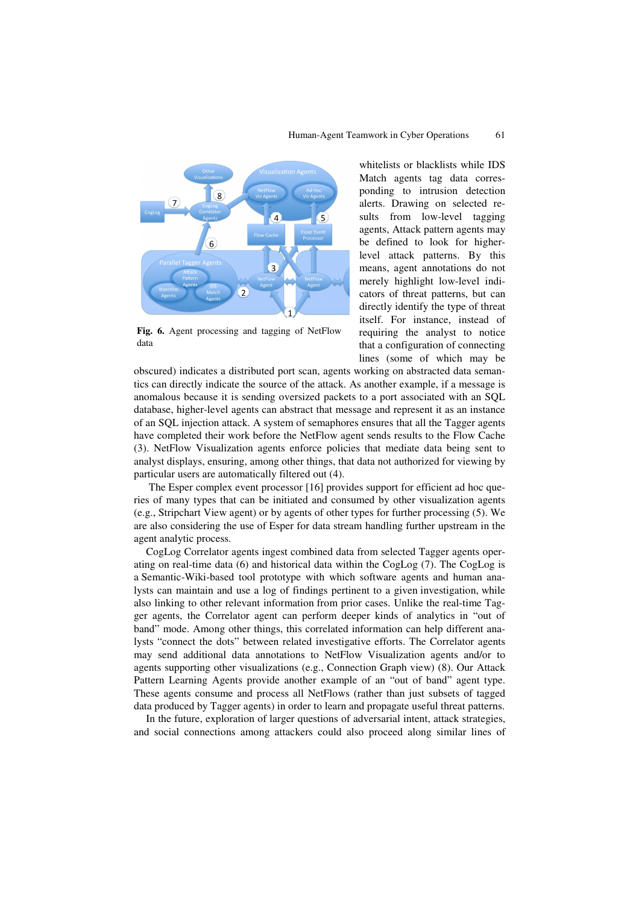

**Fig. 6.** Agent processing and tagging of NetFlow data

whitelists or blacklists while IDS Match agents tag data corresponding to intrusion detection alerts. Drawing on selected results from low-level tagging agents, Attack pattern agents may be defined to look for higherlevel attack patterns. By this means, agent annotations do not merely highlight low-level indicators of threat patterns, but can directly identify the type of threat itself. For instance, instead of requiring the analyst to notice that a configuration of connecting lines (some of which may be

obscured) indicates a distributed port scan, agents working on abstracted data semantics can directly indicate the source of the attack. As another example, if a message is anomalous because it is sending oversized packets to a port associated with an SQL database, higher-level agents can abstract that message and represent it as an instance of an SQL injection attack. A system of semaphores ensures that all the Tagger agents have completed their work before the NetFlow agent sends results to the Flow Cache (3). NetFlow Visualization agents enforce policies that mediate data being sent to analyst displays, ensuring, among other things, that data not authorized for viewing by particular users are automatically filtered out (4).

 The Esper complex event processor [16] provides support for efficient ad hoc queries of many types that can be initiated and consumed by other visualization agents (e.g., Stripchart View agent) or by agents of other types for further processing (5). We are also considering the use of Esper for data stream handling further upstream in the agent analytic process.

CogLog Correlator agents ingest combined data from selected Tagger agents operating on real-time data (6) and historical data within the CogLog (7). The CogLog is a Semantic-Wiki-based tool prototype with which software agents and human analysts can maintain and use a log of findings pertinent to a given investigation, while also linking to other relevant information from prior cases. Unlike the real-time Tagger agents, the Correlator agent can perform deeper kinds of analytics in "out of band" mode. Among other things, this correlated information can help different analysts "connect the dots" between related investigative efforts. The Correlator agents may send additional data annotations to NetFlow Visualization agents and/or to agents supporting other visualizations (e.g., Connection Graph view) (8). Our Attack Pattern Learning Agents provide another example of an "out of band" agent type. These agents consume and process all NetFlows (rather than just subsets of tagged data produced by Tagger agents) in order to learn and propagate useful threat patterns.

In the future, exploration of larger questions of adversarial intent, attack strategies, and social connections among attackers could also proceed along similar lines of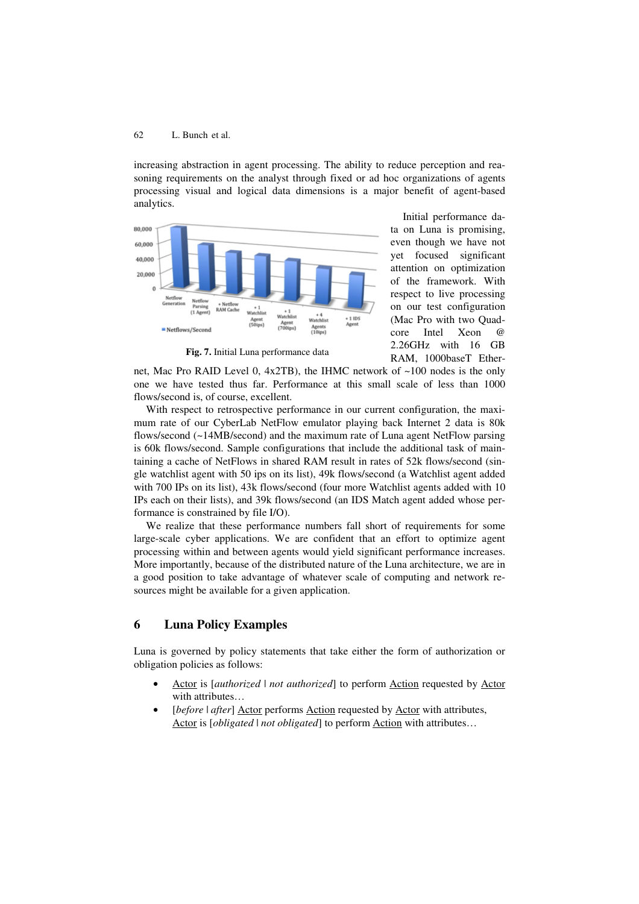increasing abstraction in agent processing. The ability to reduce perception and reasoning requirements on the analyst through fixed or ad hoc organizations of agents processing visual and logical data dimensions is a major benefit of agent-based analytics.



**Fig. 7.** Initial Luna performance data

Initial performance data on Luna is promising, even though we have not yet focused significant attention on optimization of the framework. With respect to live processing on our test configuration (Mac Pro with two Quadcore Intel Xeon @ 2.26GHz with 16 GB RAM, 1000baseT Ether-

net, Mac Pro RAID Level 0, 4x2TB), the IHMC network of ~100 nodes is the only one we have tested thus far. Performance at this small scale of less than 1000 flows/second is, of course, excellent.

With respect to retrospective performance in our current configuration, the maximum rate of our CyberLab NetFlow emulator playing back Internet 2 data is 80k flows/second (~14MB/second) and the maximum rate of Luna agent NetFlow parsing is 60k flows/second. Sample configurations that include the additional task of maintaining a cache of NetFlows in shared RAM result in rates of 52k flows/second (single watchlist agent with 50 ips on its list), 49k flows/second (a Watchlist agent added with 700 IPs on its list), 43k flows/second (four more Watchlist agents added with 10 IPs each on their lists), and 39k flows/second (an IDS Match agent added whose performance is constrained by file I/O).

We realize that these performance numbers fall short of requirements for some large-scale cyber applications. We are confident that an effort to optimize agent processing within and between agents would yield significant performance increases. More importantly, because of the distributed nature of the Luna architecture, we are in a good position to take advantage of whatever scale of computing and network resources might be available for a given application.

# **6 Luna Policy Examples**

Luna is governed by policy statements that take either the form of authorization or obligation policies as follows:

- Actor is [*authorized* | *not authorized*] to perform Action requested by Actor with attributes…
- [before | after] Actor performs Action requested by Actor with attributes, Actor is [*obligated* | *not obligated*] to perform Action with attributes…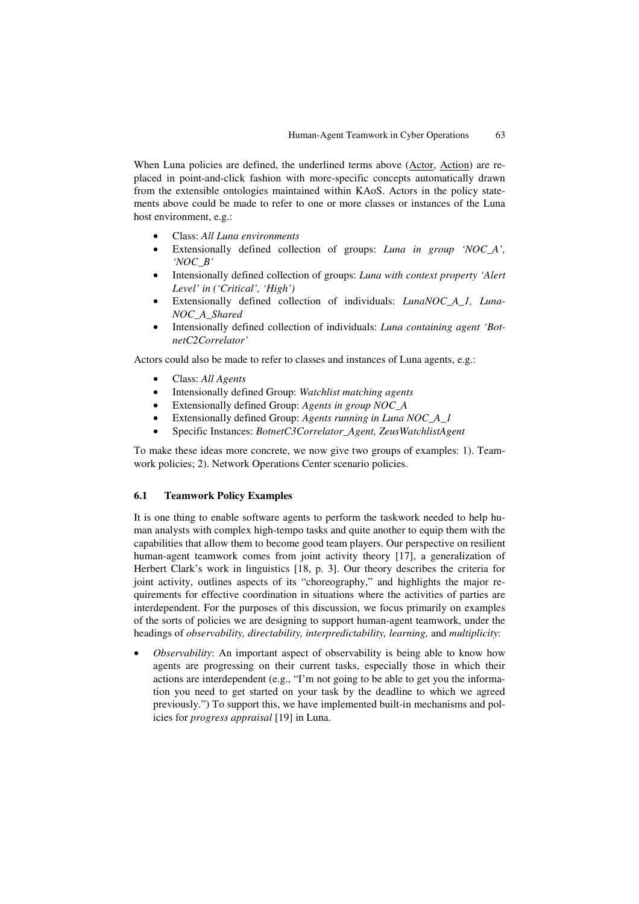When Luna policies are defined, the underlined terms above (Actor, Action) are replaced in point-and-click fashion with more-specific concepts automatically drawn from the extensible ontologies maintained within KAoS. Actors in the policy statements above could be made to refer to one or more classes or instances of the Luna host environment, e.g.:

- Class: *All Luna environments*
- Extensionally defined collection of groups: *Luna in group 'NOC\_A', 'NOC\_B'*
- Intensionally defined collection of groups: *Luna with context property 'Alert Level' in ('Critical', 'High')*
- Extensionally defined collection of individuals: *LunaNOC A 1, Luna-NOC\_A\_Shared*
- Intensionally defined collection of individuals: *Luna containing agent 'BotnetC2Correlator'*

Actors could also be made to refer to classes and instances of Luna agents, e.g.:

- Class: *All Agents*
- Intensionally defined Group: *Watchlist matching agents*
- Extensionally defined Group: *Agents in group NOC\_A*
- Extensionally defined Group: *Agents running in Luna NOC\_A\_1*
- Specific Instances: *BotnetC3Correlator\_Agent, ZeusWatchlistAgent*

To make these ideas more concrete, we now give two groups of examples: 1). Teamwork policies; 2). Network Operations Center scenario policies.

### **6.1 Teamwork Policy Examples**

It is one thing to enable software agents to perform the taskwork needed to help human analysts with complex high-tempo tasks and quite another to equip them with the capabilities that allow them to become good team players. Our perspective on resilient human-agent teamwork comes from joint activity theory [17], a generalization of Herbert Clark's work in linguistics [18, p. 3]. Our theory describes the criteria for joint activity, outlines aspects of its "choreography," and highlights the major requirements for effective coordination in situations where the activities of parties are interdependent. For the purposes of this discussion, we focus primarily on examples of the sorts of policies we are designing to support human-agent teamwork, under the headings of *observability, directability, interpredictability, learning,* and *multiplicity*:

• *Observability*: An important aspect of observability is being able to know how agents are progressing on their current tasks, especially those in which their actions are interdependent (e.g., "I'm not going to be able to get you the information you need to get started on your task by the deadline to which we agreed previously.") To support this, we have implemented built-in mechanisms and policies for *progress appraisal* [19] in Luna.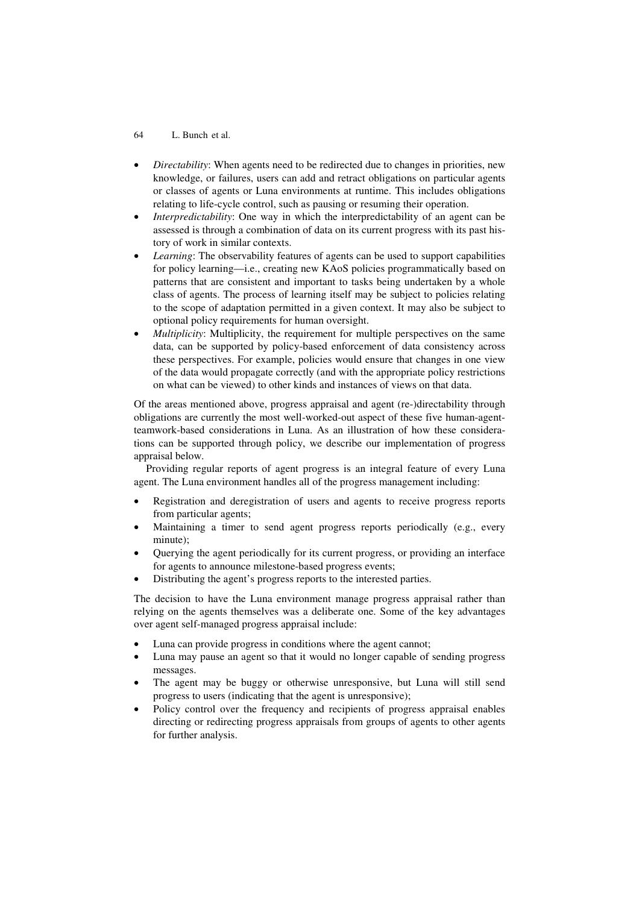- *Directability*: When agents need to be redirected due to changes in priorities, new knowledge, or failures, users can add and retract obligations on particular agents or classes of agents or Luna environments at runtime. This includes obligations relating to life-cycle control, such as pausing or resuming their operation.
- *Interpredictability*: One way in which the interpredictability of an agent can be assessed is through a combination of data on its current progress with its past history of work in similar contexts.
- *Learning*: The observability features of agents can be used to support capabilities for policy learning—i.e., creating new KAoS policies programmatically based on patterns that are consistent and important to tasks being undertaken by a whole class of agents. The process of learning itself may be subject to policies relating to the scope of adaptation permitted in a given context. It may also be subject to optional policy requirements for human oversight.
- *Multiplicity*: Multiplicity, the requirement for multiple perspectives on the same data, can be supported by policy-based enforcement of data consistency across these perspectives. For example, policies would ensure that changes in one view of the data would propagate correctly (and with the appropriate policy restrictions on what can be viewed) to other kinds and instances of views on that data.

Of the areas mentioned above, progress appraisal and agent (re-)directability through obligations are currently the most well-worked-out aspect of these five human-agentteamwork-based considerations in Luna. As an illustration of how these considerations can be supported through policy, we describe our implementation of progress appraisal below.

Providing regular reports of agent progress is an integral feature of every Luna agent. The Luna environment handles all of the progress management including:

- Registration and deregistration of users and agents to receive progress reports from particular agents;
- Maintaining a timer to send agent progress reports periodically (e.g., every minute);
- Querying the agent periodically for its current progress, or providing an interface for agents to announce milestone-based progress events;
- Distributing the agent's progress reports to the interested parties.

The decision to have the Luna environment manage progress appraisal rather than relying on the agents themselves was a deliberate one. Some of the key advantages over agent self-managed progress appraisal include:

- Luna can provide progress in conditions where the agent cannot;
- Luna may pause an agent so that it would no longer capable of sending progress messages.
- The agent may be buggy or otherwise unresponsive, but Luna will still send progress to users (indicating that the agent is unresponsive);
- Policy control over the frequency and recipients of progress appraisal enables directing or redirecting progress appraisals from groups of agents to other agents for further analysis.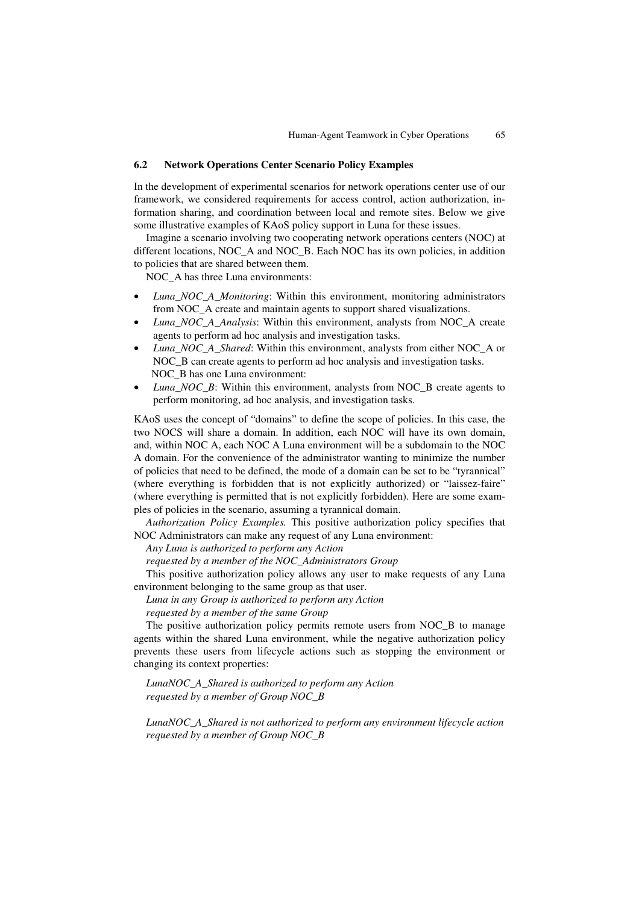#### **6.2 Network Operations Center Scenario Policy Examples**

In the development of experimental scenarios for network operations center use of our framework, we considered requirements for access control, action authorization, information sharing, and coordination between local and remote sites. Below we give some illustrative examples of KAoS policy support in Luna for these issues.

Imagine a scenario involving two cooperating network operations centers (NOC) at different locations, NOC\_A and NOC\_B. Each NOC has its own policies, in addition to policies that are shared between them.

NOC\_A has three Luna environments:

- *Luna NOC A Monitoring*: Within this environment, monitoring administrators from NOC\_A create and maintain agents to support shared visualizations.
- *Luna\_NOC\_A\_Analysis*: Within this environment, analysts from NOC\_A create agents to perform ad hoc analysis and investigation tasks.
- *Luna\_NOC\_A\_Shared*: Within this environment, analysts from either NOC\_A or NOC B can create agents to perform ad hoc analysis and investigation tasks. NOC B has one Luna environment:
- *Luna\_NOC\_B*: Within this environment, analysts from NOC\_B create agents to perform monitoring, ad hoc analysis, and investigation tasks.

KAoS uses the concept of "domains" to define the scope of policies. In this case, the two NOCS will share a domain. In addition, each NOC will have its own domain, and, within NOC A, each NOC A Luna environment will be a subdomain to the NOC A domain. For the convenience of the administrator wanting to minimize the number of policies that need to be defined, the mode of a domain can be set to be "tyrannical" (where everything is forbidden that is not explicitly authorized) or "laissez-faire" (where everything is permitted that is not explicitly forbidden). Here are some examples of policies in the scenario, assuming a tyrannical domain.

*Authorization Policy Examples.* This positive authorization policy specifies that NOC Administrators can make any request of any Luna environment:

*Any Luna is authorized to perform any Action* 

*requested by a member of the NOC\_Administrators Group* 

This positive authorization policy allows any user to make requests of any Luna environment belonging to the same group as that user.

*Luna in any Group is authorized to perform any Action* 

*requested by a member of the same Group* 

The positive authorization policy permits remote users from NOC<sub>B</sub> to manage agents within the shared Luna environment, while the negative authorization policy prevents these users from lifecycle actions such as stopping the environment or changing its context properties:

*LunaNOC\_A\_Shared is authorized to perform any Action requested by a member of Group NOC\_B* 

*LunaNOC\_A\_Shared is not authorized to perform any environment lifecycle action requested by a member of Group NOC\_B*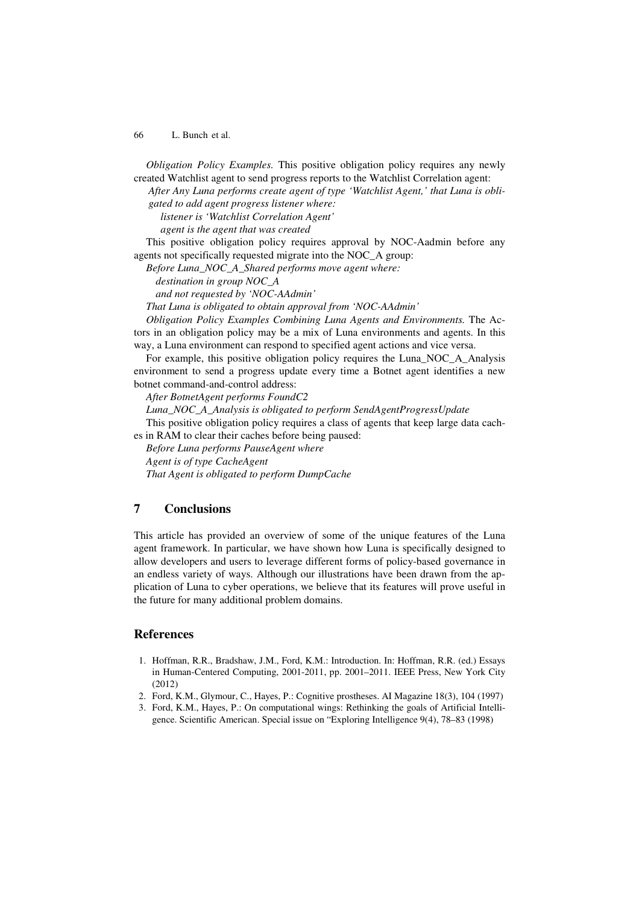*Obligation Policy Examples.* This positive obligation policy requires any newly created Watchlist agent to send progress reports to the Watchlist Correlation agent:

*After Any Luna performs create agent of type 'Watchlist Agent,' that Luna is obligated to add agent progress listener where:* 

*listener is 'Watchlist Correlation Agent'* 

*agent is the agent that was created* 

This positive obligation policy requires approval by NOC-Aadmin before any agents not specifically requested migrate into the NOC\_A group:

*Before Luna\_NOC\_A\_Shared performs move agent where:* 

*destination in group NOC\_A* 

*and not requested by 'NOC-AAdmin'* 

*That Luna is obligated to obtain approval from 'NOC-AAdmin'* 

*Obligation Policy Examples Combining Luna Agents and Environments.* The Actors in an obligation policy may be a mix of Luna environments and agents. In this way, a Luna environment can respond to specified agent actions and vice versa.

For example, this positive obligation policy requires the Luna\_NOC\_A\_Analysis environment to send a progress update every time a Botnet agent identifies a new botnet command-and-control address:

*After BotnetAgent performs FoundC2* 

*Luna\_NOC\_A\_Analysis is obligated to perform SendAgentProgressUpdate* 

This positive obligation policy requires a class of agents that keep large data caches in RAM to clear their caches before being paused:

*Before Luna performs PauseAgent where Agent is of type CacheAgent* 

*That Agent is obligated to perform DumpCache* 

# **7 Conclusions**

This article has provided an overview of some of the unique features of the Luna agent framework. In particular, we have shown how Luna is specifically designed to allow developers and users to leverage different forms of policy-based governance in an endless variety of ways. Although our illustrations have been drawn from the application of Luna to cyber operations, we believe that its features will prove useful in the future for many additional problem domains.

# **References**

- 1. Hoffman, R.R., Bradshaw, J.M., Ford, K.M.: Introduction. In: Hoffman, R.R. (ed.) Essays in Human-Centered Computing, 2001-2011, pp. 2001–2011. IEEE Press, New York City (2012)
- 2. Ford, K.M., Glymour, C., Hayes, P.: Cognitive prostheses. AI Magazine 18(3), 104 (1997)
- 3. Ford, K.M., Hayes, P.: On computational wings: Rethinking the goals of Artificial Intelligence. Scientific American. Special issue on "Exploring Intelligence 9(4), 78–83 (1998)